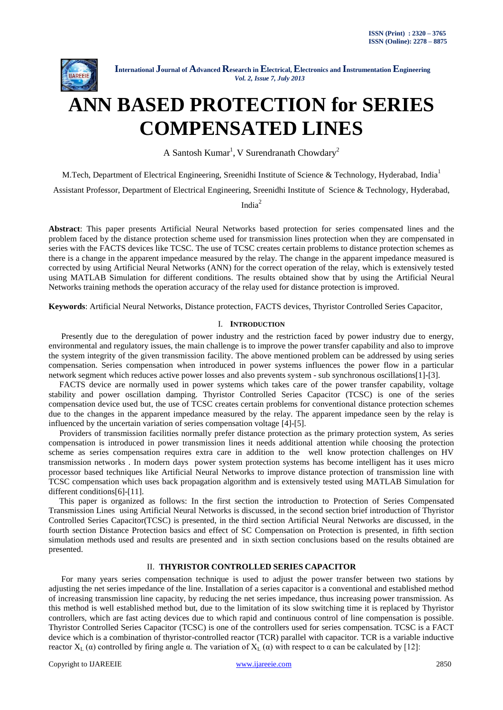

# **ANN BASED PROTECTION for SERIES COMPENSATED LINES**

A Santosh Kumar<sup>1</sup>, V Surendranath Chowdary<sup>2</sup>

M.Tech, Department of Electrical Engineering, Sreenidhi Institute of Science & Technology, Hyderabad, India<sup>1</sup>

Assistant Professor, Department of Electrical Engineering, Sreenidhi Institute of Science & Technology, Hyderabad,

India<sup>2</sup>

**Abstract**: This paper presents Artificial Neural Networks based protection for series compensated lines and the problem faced by the distance protection scheme used for transmission lines protection when they are compensated in series with the FACTS devices like TCSC. The use of TCSC creates certain problems to distance protection schemes as there is a change in the apparent impedance measured by the relay. The change in the apparent impedance measured is corrected by using Artificial Neural Networks (ANN) for the correct operation of the relay, which is extensively tested using MATLAB Simulation for different conditions. The results obtained show that by using the Artificial Neural Networks training methods the operation accuracy of the relay used for distance protection is improved.

**Keywords**: Artificial Neural Networks, Distance protection, FACTS devices, Thyristor Controlled Series Capacitor,

#### I. **INTRODUCTION**

 Presently due to the deregulation of power industry and the restriction faced by power industry due to energy, environmental and regulatory issues, the main challenge is to improve the power transfer capability and also to improve the system integrity of the given transmission facility. The above mentioned problem can be addressed by using series compensation. Series compensation when introduced in power systems influences the power flow in a particular network segment which reduces active power losses and also prevents system - sub synchronous oscillations[1]-[3].

 FACTS device are normally used in power systems which takes care of the power transfer capability, voltage stability and power oscillation damping. Thyristor Controlled Series Capacitor (TCSC) is one of the series compensation device used but, the use of TCSC creates certain problems for conventional distance protection schemes due to the changes in the apparent impedance measured by the relay. The apparent impedance seen by the relay is influenced by the uncertain variation of series compensation voltage [4]-[5].

 Providers of transmission facilities normally prefer distance protection as the primary protection system, As series compensation is introduced in power transmission lines it needs additional attention while choosing the protection scheme as series compensation requires extra care in addition to the well know protection challenges on HV transmission networks . In modern days power system protection systems has become intelligent has it uses micro processor based techniques like Artificial Neural Networks to improve distance protection of transmission line with TCSC compensation which uses back propagation algorithm and is extensively tested using MATLAB Simulation for different conditions[6]-[11].

 This paper is organized as follows: In the first section the introduction to Protection of Series Compensated Transmission Lines using Artificial Neural Networks is discussed, in the second section brief introduction of Thyristor Controlled Series Capacitor(TCSC) is presented, in the third section Artificial Neural Networks are discussed, in the fourth section Distance Protection basics and effect of SC Compensation on Protection is presented, in fifth section simulation methods used and results are presented and in sixth section conclusions based on the results obtained are presented.

#### II. **THYRISTOR CONTROLLED SERIES CAPACITOR**

 For many years series compensation technique is used to adjust the power transfer between two stations by adjusting the net series impedance of the line. Installation of a series capacitor is a conventional and established method of increasing transmission line capacity, by reducing the net series impedance, thus increasing power transmission. As this method is well established method but, due to the limitation of its slow switching time it is replaced by Thyristor controllers, which are fast acting devices due to which rapid and continuous control of line compensation is possible. Thyristor Controlled Series Capacitor (TCSC) is one of the controllers used for series compensation. TCSC is a FACT device which is a combination of thyristor-controlled reactor (TCR) parallel with capacitor. TCR is a variable inductive reactor  $X_L(\alpha)$  controlled by firing angle α. The variation of  $X_L(\alpha)$  with respect to α can be calculated by [12]: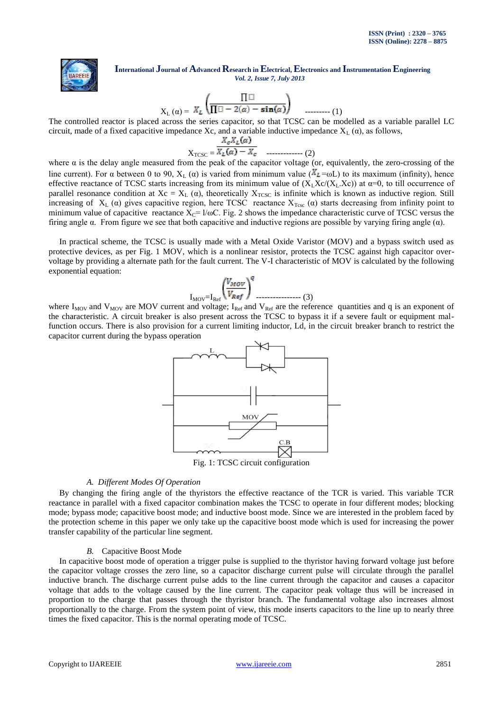

$$
X_{L}(\alpha) = X_{L} \left( \frac{\prod \square}{\prod \square - 2(\alpha) - \sin(\alpha)} \right) \qquad \qquad \dots \qquad (1)
$$

The controlled reactor is placed across the series capacitor, so that TCSC can be modelled as a variable parallel LC circuit, made of a fixed capacitive impedance Xc, and a variable inductive impedance  $X_L(\alpha)$ , as follows,

$$
X_{\text{TCSC}} = \frac{X_c X_L(\alpha)}{X_L(\alpha) - X_c}
$$
 \n........(2)

where  $\alpha$  is the delay angle measured from the peak of the capacitor voltage (or, equivalently, the zero-crossing of the line current). For  $\alpha$  between 0 to 90,  $X_L(\alpha)$  is varied from minimum value ( $X_L = \omega L$ ) to its maximum (infinity), hence effective reactance of TCSC starts increasing from its minimum value of  $(X_1X_2(X_1,X_2))$  at  $\alpha=0$ , to till occurrence of parallel resonance condition at  $Xc = X_L(\alpha)$ , theoretically  $X_{TCSC}$  is infinite which is known as inductive region. Still increasing of  $X_L(\alpha)$  gives capacitive region, here TCSC reactance  $X_{Tcsc}(\alpha)$  starts decreasing from infinity point to minimum value of capacitive reactance  $X_c = 1/\omega C$ . Fig. 2 shows the impedance characteristic curve of TCSC versus the firing angle α. From figure we see that both capacitive and inductive regions are possible by varying firing angle (α).

 In practical scheme, the TCSC is usually made with a Metal Oxide Varistor (MOV) and a bypass switch used as protective devices, as per Fig. 1 MOV, which is a nonlinear resistor, protects the TCSC against high capacitor overvoltage by providing a alternate path for the fault current. The V-I characteristic of MOV is calculated by the following exponential equation:

$$
I_{\text{mov}} = I_{\text{Ref}} \left( \frac{V_{\text{mov}}}{V_{\text{Ref}}} \right)^q \dots (3)
$$

where  $I_{\text{MOV}}$  and  $V_{\text{MOV}}$  are MOV current and voltage;  $I_{\text{Ref}}$  and  $V_{\text{Ref}}$  are the reference quantities and q is an exponent of the characteristic. A circuit breaker is also present across the TCSC to bypass it if a severe fault or equipment malfunction occurs. There is also provision for a current limiting inductor, Ld, in the circuit breaker branch to restrict the capacitor current during the bypass operation



## *A. Different Modes Of Operation*

 By changing the firing angle of the thyristors the effective reactance of the TCR is varied. This variable TCR reactance in parallel with a fixed capacitor combination makes the TCSC to operate in four different modes; blocking mode; bypass mode; capacitive boost mode; and inductive boost mode. Since we are interested in the problem faced by the protection scheme in this paper we only take up the capacitive boost mode which is used for increasing the power transfer capability of the particular line segment.

#### *B.* Capacitive Boost Mode

 In capacitive boost mode of operation a trigger pulse is supplied to the thyristor having forward voltage just before the capacitor voltage crosses the zero line, so a capacitor discharge current pulse will circulate through the parallel inductive branch. The discharge current pulse adds to the line current through the capacitor and causes a capacitor voltage that adds to the voltage caused by the line current. The capacitor peak voltage thus will be increased in proportion to the charge that passes through the thyristor branch. The fundamental voltage also increases almost proportionally to the charge. From the system point of view, this mode inserts capacitors to the line up to nearly three times the fixed capacitor. This is the normal operating mode of TCSC.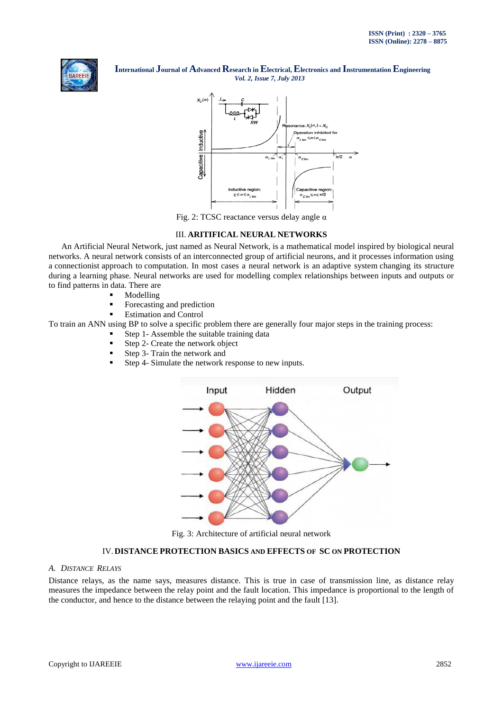



Fig. 2: TCSC reactance versus delay angle α

## III. **ARITIFICAL NEURAL NETWORKS**

 An Artificial Neural Network, just named as Neural Network, is a mathematical model inspired by biological neural networks. A neural network consists of an interconnected group of artificial neurons, and it processes information using a connectionist approach to computation. In most cases a neural network is an adaptive system changing its structure during a learning phase. Neural networks are used for modelling complex relationships between inputs and outputs or to find patterns in data. There are

- Modelling
- **Forecasting and prediction**
- Estimation and Control

To train an ANN using BP to solve a specific problem there are generally four major steps in the training process:

- Step 1- Assemble the suitable training data
	- Step 2- Create the network object
	- Step 3- Train the network and
	- Step 4- Simulate the network response to new inputs.



Fig. 3: Architecture of artificial neural network

#### IV.**DISTANCE PROTECTION BASICS AND EFFECTS OF SC ON PROTECTION**

### *A. DISTANCE RELAYS*

Distance relays, as the name says, measures distance. This is true in case of transmission line, as distance relay measures the impedance between the relay point and the fault location. This impedance is proportional to the length of the conductor, and hence to the distance between the relaying point and the fault [13].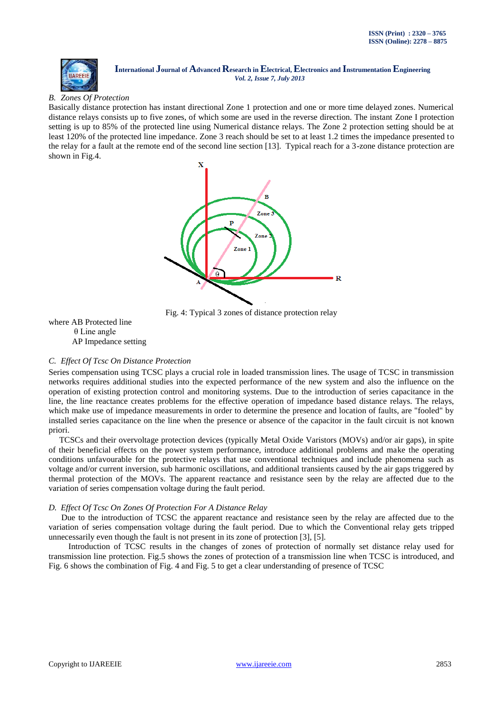

# *B. Zones Of Protection*

Basically distance protection has instant directional Zone 1 protection and one or more time delayed zones. Numerical distance relays consists up to five zones, of which some are used in the reverse direction. The instant Zone I protection setting is up to 85% of the protected line using Numerical distance relays. The Zone 2 protection setting should be at least 120% of the protected line impedance. Zone 3 reach should be set to at least 1.2 times the impedance presented to the relay for a fault at the remote end of the second line section [13]. Typical reach for a 3-zone distance protection are shown in Fig.4.



Fig. 4: Typical 3 zones of distance protection relay

where AB Protected line θ Line angle AP Impedance setting

## *C. Effect Of Tcsc On Distance Protection*

Series compensation using TCSC plays a crucial role in loaded transmission lines. The usage of TCSC in transmission networks requires additional studies into the expected performance of the new system and also the influence on the operation of existing protection control and monitoring systems. Due to the introduction of series capacitance in the line, the line reactance creates problems for the effective operation of impedance based distance relays. The relays, which make use of impedance measurements in order to determine the presence and location of faults, are "fooled" by installed series capacitance on the line when the presence or absence of the capacitor in the fault circuit is not known priori.

 TCSCs and their overvoltage protection devices (typically Metal Oxide Varistors (MOVs) and/or air gaps), in spite of their beneficial effects on the power system performance, introduce additional problems and make the operating conditions unfavourable for the protective relays that use conventional techniques and include phenomena such as voltage and/or current inversion, sub harmonic oscillations, and additional transients caused by the air gaps triggered by thermal protection of the MOVs. The apparent reactance and resistance seen by the relay are affected due to the variation of series compensation voltage during the fault period.

## *D. Effect Of Tcsc On Zones Of Protection For A Distance Relay*

 Due to the introduction of TCSC the apparent reactance and resistance seen by the relay are affected due to the variation of series compensation voltage during the fault period. Due to which the Conventional relay gets tripped unnecessarily even though the fault is not present in its zone of protection [3], [5].

 Introduction of TCSC results in the changes of zones of protection of normally set distance relay used for transmission line protection. Fig.5 shows the zones of protection of a transmission line when TCSC is introduced, and Fig. 6 shows the combination of Fig. 4 and Fig. 5 to get a clear understanding of presence of TCSC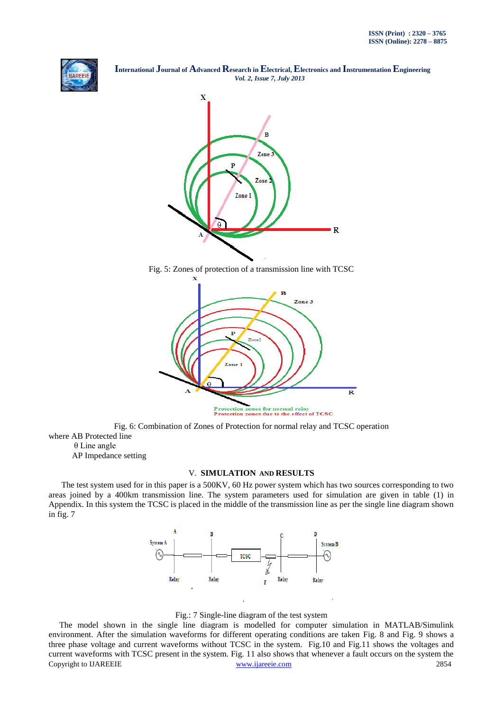



Fig. 5: Zones of protection of a transmission line with TCSC



Fig. 6: Combination of Zones of Protection for normal relay and TCSC operation where AB Protected line

θ Line angle

AP Impedance setting

#### V. **SIMULATION AND RESULTS**

 The test system used for in this paper is a 500KV, 60 Hz power system which has two sources corresponding to two areas joined by a 400km transmission line. The system parameters used for simulation are given in table (1) in Appendix. In this system the TCSC is placed in the middle of the transmission line as per the single line diagram shown in fig. 7



Fig.: 7 Single-line diagram of the test system

Copyright to IJAREEIE [www.ijareeie.com](http://www.ijareeie.com/) 2854 The model shown in the single line diagram is modelled for computer simulation in MATLAB/Simulink environment. After the simulation waveforms for different operating conditions are taken Fig. 8 and Fig. 9 shows a three phase voltage and current waveforms without TCSC in the system. Fig.10 and Fig.11 shows the voltages and current waveforms with TCSC present in the system. Fig. 11 also shows that whenever a fault occurs on the system the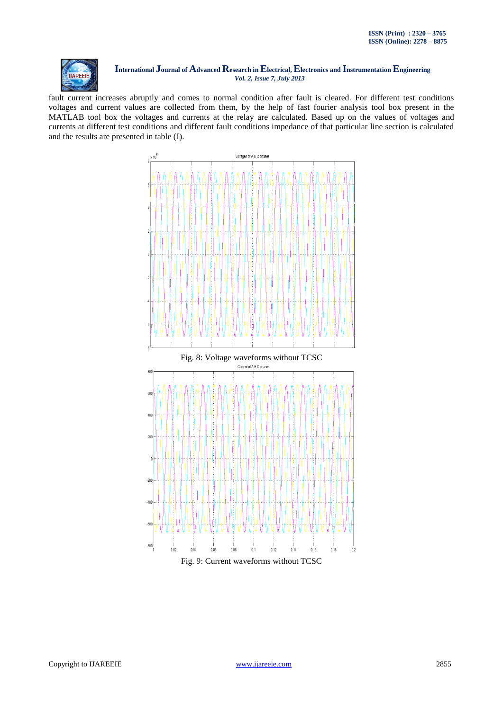

fault current increases abruptly and comes to normal condition after fault is cleared. For different test conditions voltages and current values are collected from them, by the help of fast fourier analysis tool box present in the MATLAB tool box the voltages and currents at the relay are calculated. Based up on the values of voltages and currents at different test conditions and different fault conditions impedance of that particular line section is calculated and the results are presented in table (I).



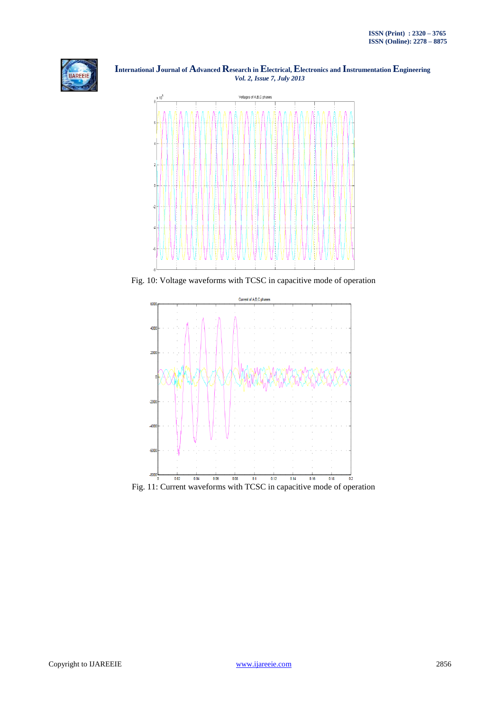



Fig. 10: Voltage waveforms with TCSC in capacitive mode of operation

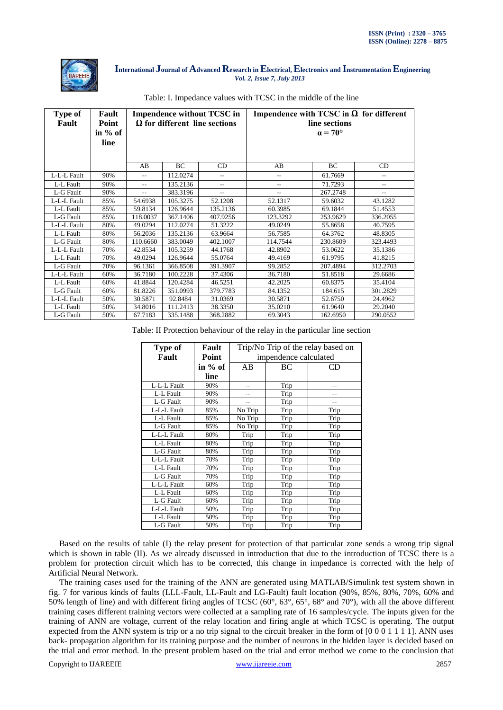

| <b>Type of</b><br>Fault | Fault<br>Point<br>in % of<br>line | <b>Impendence without TCSC in</b><br>$\Omega$ for different line sections |           |          | Impendence with TCSC in $\Omega$ for different<br>line sections<br>$\alpha = 70^{\circ}$ |          |                |
|-------------------------|-----------------------------------|---------------------------------------------------------------------------|-----------|----------|------------------------------------------------------------------------------------------|----------|----------------|
|                         |                                   | AB                                                                        | <b>BC</b> | CD       | AB                                                                                       | BC       | CD             |
| L-L-L Fault             | 90%                               | $\overline{a}$                                                            | 112.0274  | --       | --                                                                                       | 61.7669  | $\overline{a}$ |
| L-L Fault               | 90%                               | --                                                                        | 135.2136  | --       | --                                                                                       | 71.7293  | --             |
| L-G Fault               | 90%                               | $-$                                                                       | 383.3196  |          |                                                                                          | 267.2748 |                |
| L-L-L Fault             | 85%                               | 54.6938                                                                   | 105.3275  | 52.1208  | 52.1317                                                                                  | 59.6032  | 43.1282        |
| L-L Fault               | 85%                               | 59.8134                                                                   | 126.9644  | 135.2136 | 60.3985                                                                                  | 69.1844  | 51.4553        |
| L-G Fault               | 85%                               | 118.0037                                                                  | 367.1406  | 407.9256 | 123.3292                                                                                 | 253.9629 | 336.2055       |
| L-L-L Fault             | 80%                               | 49.0294                                                                   | 112.0274  | 51.3222  | 49.0249                                                                                  | 55.8658  | 40.7595        |
| L-L Fault               | 80%                               | 56.2036                                                                   | 135.2136  | 63.9664  | 56.7585                                                                                  | 64.3762  | 48.8305        |
| L-G Fault               | 80%                               | 110.6660                                                                  | 383.0049  | 402.1007 | 114.7544                                                                                 | 230.8609 | 323.4493       |
| L-L-L Fault             | 70%                               | 42.8534                                                                   | 105.3259  | 44.1768  | 42.8902                                                                                  | 53.0622  | 35.1386        |
| L-L Fault               | 70%                               | 49.0294                                                                   | 126.9644  | 55.0764  | 49.4169                                                                                  | 61.9795  | 41.8215        |
| L-G Fault               | 70%                               | 96.1361                                                                   | 366.8508  | 391.3907 | 99.2852                                                                                  | 207.4894 | 312.2703       |
| L-L-L Fault             | 60%                               | 36.7180                                                                   | 100.2228  | 37.4306  | 36.7180                                                                                  | 51.8518  | 29.6686        |
| L-L Fault               | 60%                               | 41.8844                                                                   | 120.4284  | 46.5251  | 42.2025                                                                                  | 60.8375  | 35.4104        |
| L-G Fault               | 60%                               | 81.8226                                                                   | 351.0993  | 379.7783 | 84.1352                                                                                  | 184.615  | 301.2829       |
| L-L-L Fault             | 50%                               | 30.5871                                                                   | 92.8484   | 31.0369  | 30.5871                                                                                  | 52.6750  | 24.4962        |
| L-L Fault               | 50%                               | 34.8016                                                                   | 111.2413  | 38.3350  | 35.0210                                                                                  | 61.9640  | 29.2040        |
| L-G Fault               | 50%                               | 67.7183                                                                   | 335.1488  | 368.2882 | 69.3043                                                                                  | 162.6950 | 290.0552       |

#### Table: I. Impedance values with TCSC in the middle of the line

Table: II Protection behaviour of the relay in the particular line section

| Type of     | Fault   | Trip/No Trip of the relay based on |      |      |  |
|-------------|---------|------------------------------------|------|------|--|
| Fault       | Point   | impendence calculated              |      |      |  |
|             | in % of | AB                                 | ВC   | CD   |  |
|             | line    |                                    |      |      |  |
| L-L-L Fault | 90%     |                                    | Trip |      |  |
| L-L Fault   | 90%     |                                    | Trip |      |  |
| L-G Fault   | 90%     | --                                 | Trip | --   |  |
| L-L-L Fault | 85%     | No Trip                            | Trip | Trip |  |
| L-L Fault   | 85%     | No Trip                            | Trip | Trip |  |
| L-G Fault   | 85%     | No Trip                            | Trip | Trip |  |
| L-L-L Fault | 80%     | Trip                               | Trip | Trip |  |
| L-L Fault   | 80%     | Trip                               | Trip | Trip |  |
| L-G Fault   | 80%     | Trip                               | Trip | Trip |  |
| L-L-L Fault | 70%     | Trip                               | Trip | Trip |  |
| L-L Fault   | 70%     | Trip                               | Trip | Trip |  |
| L-G Fault   | 70%     | Trip                               | Trip | Trip |  |
| L-L-L Fault | 60%     | Trip                               | Trip | Trip |  |
| L-L Fault   | 60%     | Trip                               | Trip | Trip |  |
| L-G Fault   | 60%     | Trip                               | Trip | Trip |  |
| L-L-L Fault | 50%     | Trip                               | Trip | Trip |  |
| L-L Fault   | 50%     | Trip                               | Trip | Trip |  |
| L-G Fault   | 50%     | Trip                               | Trip | Trip |  |

 Based on the results of table (I) the relay present for protection of that particular zone sends a wrong trip signal which is shown in table (II). As we already discussed in introduction that due to the introduction of TCSC there is a problem for protection circuit which has to be corrected, this change in impedance is corrected with the help of Artificial Neural Network.

 The training cases used for the training of the ANN are generated using MATLAB/Simulink test system shown in fig. 7 for various kinds of faults (LLL-Fault, LL-Fault and LG-Fault) fault location (90%, 85%, 80%, 70%, 60% and 50% length of line) and with different firing angles of TCSC (60°, 63°, 65°, 68° and 70°), with all the above different training cases different training vectors were collected at a sampling rate of 16 samples/cycle. The inputs given for the training of ANN are voltage, current of the relay location and firing angle at which TCSC is operating. The output expected from the ANN system is trip or a no trip signal to the circuit breaker in the form of  $[0\ 0\ 0\ 1\ 1\ 1\ 1]$ . ANN uses back- propagation algorithm for its training purpose and the number of neurons in the hidden layer is decided based on the trial and error method. In the present problem based on the trial and error method we come to the conclusion that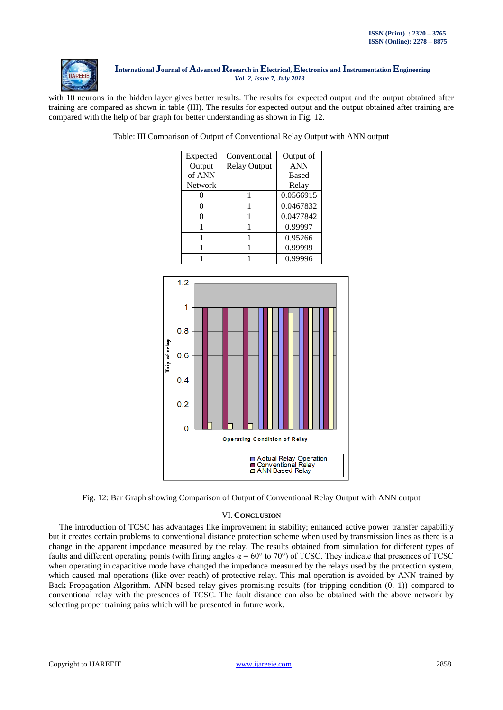

with 10 neurons in the hidden layer gives better results. The results for expected output and the output obtained after training are compared as shown in table (III). The results for expected output and the output obtained after training are compared with the help of bar graph for better understanding as shown in Fig. 12.

Table: III Comparison of Output of Conventional Relay Output with ANN output

| Expected | Conventional        | Output of    |
|----------|---------------------|--------------|
| Output   | <b>Relay Output</b> | <b>ANN</b>   |
| of ANN   |                     | <b>Based</b> |
| Network  |                     | Relay        |
|          |                     | 0.0566915    |
| 0        |                     | 0.0467832    |
|          |                     | 0.0477842    |
|          |                     | 0.99997      |
|          |                     | 0.95266      |
|          |                     | 0.99999      |
|          |                     | 0.99996      |



Fig. 12: Bar Graph showing Comparison of Output of Conventional Relay Output with ANN output

## VI.**CONCLUSION**

 The introduction of TCSC has advantages like improvement in stability; enhanced active power transfer capability but it creates certain problems to conventional distance protection scheme when used by transmission lines as there is a change in the apparent impedance measured by the relay. The results obtained from simulation for different types of faults and different operating points (with firing angles  $\alpha = 60^{\circ}$  to 70°) of TCSC. They indicate that presences of TCSC when operating in capacitive mode have changed the impedance measured by the relays used by the protection system, which caused mal operations (like over reach) of protective relay. This mal operation is avoided by ANN trained by Back Propagation Algorithm. ANN based relay gives promising results (for tripping condition (0, 1)) compared to conventional relay with the presences of TCSC. The fault distance can also be obtained with the above network by selecting proper training pairs which will be presented in future work.